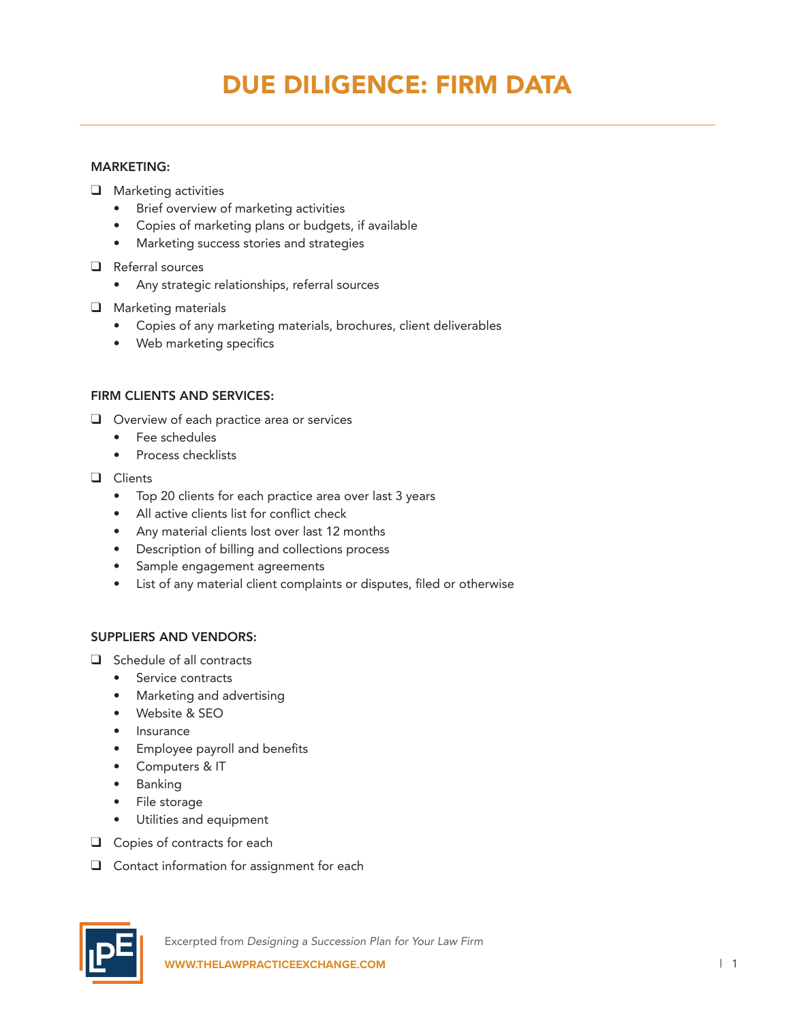# DUE DILIGENCE: FIRM DATA

#### MARKETING:

- $\Box$  Marketing activities
	- Brief overview of marketing activities
	- Copies of marketing plans or budgets, if available
	- Marketing success stories and strategies
- $\Box$  Referral sources
	- Any strategic relationships, referral sources
- $\Box$  Marketing materials
	- Copies of any marketing materials, brochures, client deliverables
	- Web marketing specifics

#### FIRM CLIENTS AND SERVICES:

- $\Box$  Overview of each practice area or services
	- Fee schedules
	- Process checklists
- **Q** Clients
	- Top 20 clients for each practice area over last 3 years
	- All active clients list for conflict check
	- Any material clients lost over last 12 months
	- Description of billing and collections process
	- Sample engagement agreements
	- List of any material client complaints or disputes, filed or otherwise

#### SUPPLIERS AND VENDORS:

- $\Box$  Schedule of all contracts
	- Service contracts
	- Marketing and advertising
	- Website & SEO
	- Insurance
	- Employee payroll and benefits
	- Computers & IT
	- Banking
	- File storage
	- Utilities and equipment
- $\Box$  Copies of contracts for each
- $\Box$  Contact information for assignment for each

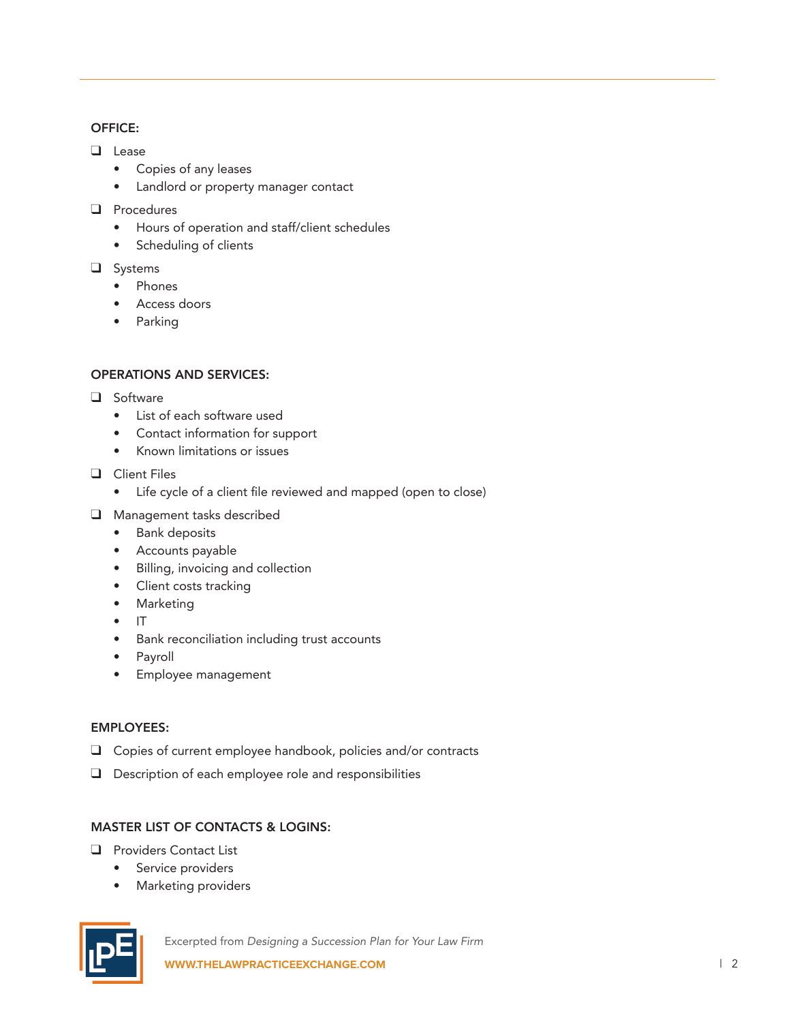#### OFFICE:

- **Q** Lease
	- Copies of any leases
	- Landlord or property manager contact
- $\Box$  Procedures
	- Hours of operation and staff/client schedules
	- Scheduling of clients
- $\Box$  Systems
	- Phones
	- Access doors
	- Parking

#### OPERATIONS AND SERVICES:

- $\Box$  Software
	- List of each software used
	- Contact information for support
	- Known limitations or issues
- $\Box$  Client Files
	- Life cycle of a client file reviewed and mapped (open to close)
- $\Box$  Management tasks described
	- Bank deposits
	- Accounts payable
	- Billing, invoicing and collection
	- Client costs tracking
	- Marketing
	- IT
	- Bank reconciliation including trust accounts
	- Payroll
	- Employee management

### EMPLOYEES:

- $\Box$  Copies of current employee handbook, policies and/or contracts
- $\Box$  Description of each employee role and responsibilities

## MASTER LIST OF CONTACTS & LOGINS:

- **Q** Providers Contact List
	- Service providers
	- Marketing providers



Excerpted from *Designing a Succession Plan for Your Law Firm* **WWW.THELAWPRACTICEEXCHANGE.COM DESCRIPTION IN A SET OF A SET OF A SET OF A SET OF A SET OF A SET OF A SET OF A SET OF A SET OF A SET OF A SET OF A SET OF A SET OF A SET OF A SET OF A SET OF A SET OF A SET OF A SET OF A**